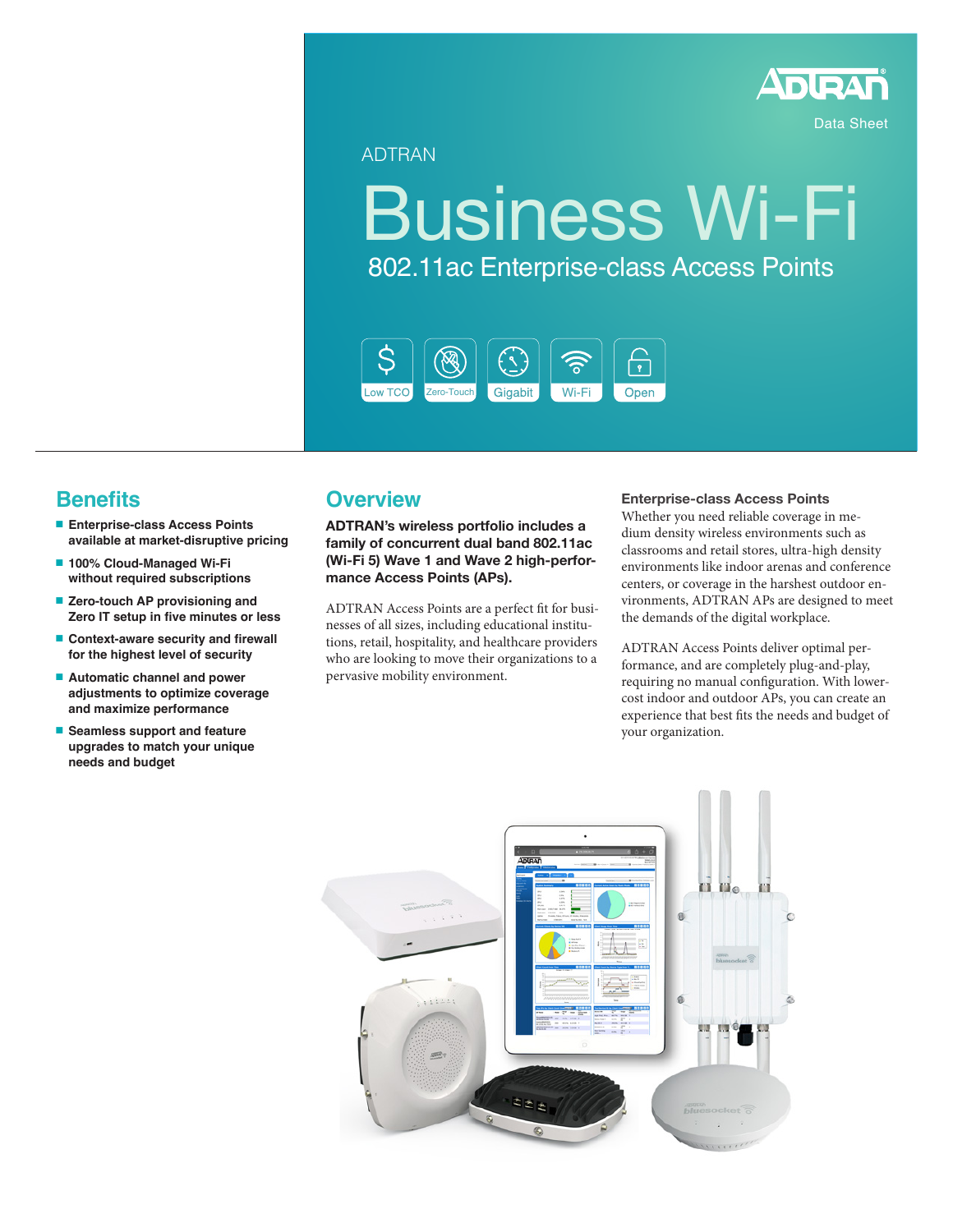

Data Sheet

ADTRAN

# Business Wi-Fi 802.11ac Enterprise-class Access Points



## **Benefits**

- **Enterprise-class Access Points available at market-disruptive pricing**
- **100% Cloud-Managed Wi-Fi without required subscriptions**
- **Zero-touch AP provisioning and Zero IT setup in five minutes or less**
- **Context-aware security and firewall for the highest level of security**
- **Automatic channel and power adjustments to optimize coverage and maximize performance**
- **Seamless support and feature upgrades to match your unique needs and budget**

### **Overview**

**ADTRAN's wireless portfolio includes a family of concurrent dual band 802.11ac (Wi-Fi 5) Wave 1 and Wave 2 high-performance Access Points (APs).**

ADTRAN Access Points are a perfect fit for businesses of all sizes, including educational institutions, retail, hospitality, and healthcare providers who are looking to move their organizations to a pervasive mobility environment.

#### **Enterprise-class Access Points**

Whether you need reliable coverage in medium density wireless environments such as classrooms and retail stores, ultra-high density environments like indoor arenas and conference centers, or coverage in the harshest outdoor environments, ADTRAN APs are designed to meet the demands of the digital workplace.

ADTRAN Access Points deliver optimal performance, and are completely plug-and-play, requiring no manual configuration. With lowercost indoor and outdoor APs, you can create an experience that best fits the needs and budget of your organization.

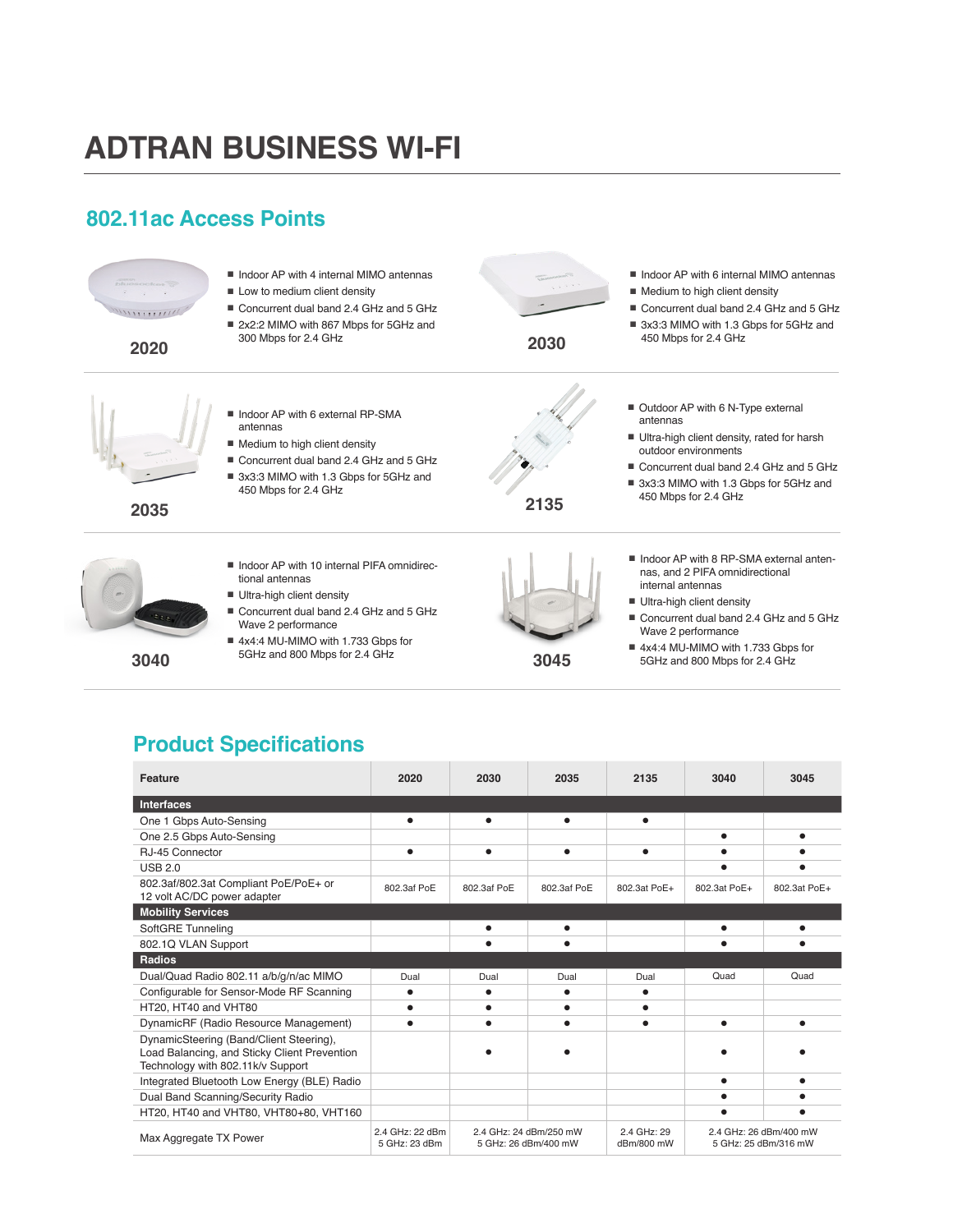## **ADTRAN BUSINESS WI-FI**

## **802.11ac Access Points**



## **Product Specifications**

| <b>Feature</b>                                                                                                               | 2020                             | 2030                 | 2035                   | 2135                      | 3040         | 3045                                           |
|------------------------------------------------------------------------------------------------------------------------------|----------------------------------|----------------------|------------------------|---------------------------|--------------|------------------------------------------------|
| <b>Interfaces</b>                                                                                                            |                                  |                      |                        |                           |              |                                                |
| One 1 Gbps Auto-Sensing                                                                                                      | ٠                                | $\bullet$            | $\bullet$              | $\bullet$                 |              |                                                |
| One 2.5 Gbps Auto-Sensing                                                                                                    |                                  |                      |                        |                           |              |                                                |
| RJ-45 Connector                                                                                                              |                                  | $\bullet$            |                        |                           |              |                                                |
| <b>USB 2.0</b>                                                                                                               |                                  |                      |                        |                           |              |                                                |
| 802.3af/802.3at Compliant PoE/PoE+ or<br>12 volt AC/DC power adapter                                                         | 802.3af PoE                      | 802.3af PoE          | 802.3af PoE            | 802.3at PoE+              | 802.3at PoE+ | 802.3at PoE+                                   |
| <b>Mobility Services</b>                                                                                                     |                                  |                      |                        |                           |              |                                                |
| SoftGRE Tunneling                                                                                                            |                                  | $\bullet$            | ٠                      |                           |              |                                                |
| 802.1Q VLAN Support                                                                                                          |                                  |                      |                        |                           |              |                                                |
| <b>Radios</b>                                                                                                                |                                  |                      |                        |                           |              |                                                |
| Dual/Quad Radio 802.11 a/b/g/n/ac MIMO                                                                                       | Dual                             | Dual                 | Dual                   | Dual                      | Quad         | Quad                                           |
| Configurable for Sensor-Mode RF Scanning                                                                                     |                                  | $\bullet$            | ٠                      |                           |              |                                                |
| HT20. HT40 and VHT80                                                                                                         |                                  |                      |                        |                           |              |                                                |
| DynamicRF (Radio Resource Management)                                                                                        |                                  |                      |                        |                           |              |                                                |
| DynamicSteering (Band/Client Steering),<br>Load Balancing, and Sticky Client Prevention<br>Technology with 802.11k/v Support |                                  |                      |                        |                           |              |                                                |
| Integrated Bluetooth Low Energy (BLE) Radio                                                                                  |                                  |                      |                        |                           |              |                                                |
| Dual Band Scanning/Security Radio                                                                                            |                                  |                      |                        |                           |              |                                                |
| HT20, HT40 and VHT80, VHT80+80, VHT160                                                                                       |                                  |                      |                        |                           |              |                                                |
| Max Aggregate TX Power                                                                                                       | 2.4 GHz: 22 dBm<br>5 GHz: 23 dBm | 5 GHz: 26 dBm/400 mW | 2.4 GHz: 24 dBm/250 mW | 2.4 GHz: 29<br>dBm/800 mW |              | 2.4 GHz: 26 dBm/400 mW<br>5 GHz: 25 dBm/316 mW |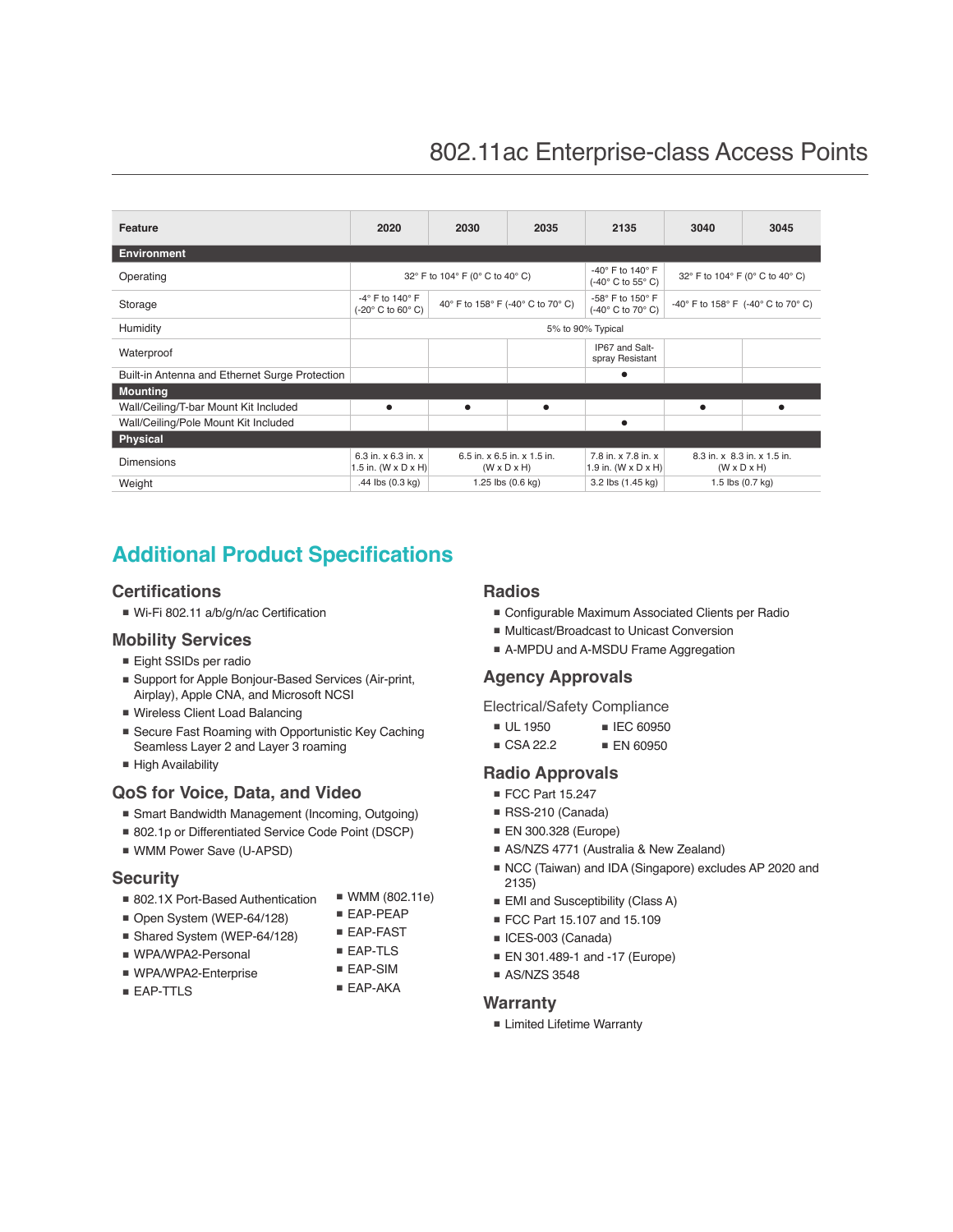| Feature                                        | 2020                                                                             | 2030                                                   | 2035                                  | 2135                                       | 3040                                                   | 3045                       |
|------------------------------------------------|----------------------------------------------------------------------------------|--------------------------------------------------------|---------------------------------------|--------------------------------------------|--------------------------------------------------------|----------------------------|
| <b>Environment</b>                             |                                                                                  |                                                        |                                       |                                            |                                                        |                            |
| Operating                                      | 32° F to 104° F (0° C to 40° C)                                                  |                                                        | -40° F to 140° F<br>(-40° C to 55° C) | 32° F to 104° F (0° C to 40° C)            |                                                        |                            |
| Storage                                        | $-4^\circ$ F to 140 $^\circ$ F<br>$(-20^\circ \text{ C to } 60^\circ \text{ C})$ | 40° F to 158° F (-40° C to 70° C)                      |                                       | -58° F to 150° F<br>(-40° C to 70° C)      | -40° F to 158° F (-40° C to 70° C)                     |                            |
| Humidity                                       | 5% to 90% Typical                                                                |                                                        |                                       |                                            |                                                        |                            |
| Waterproof                                     |                                                                                  |                                                        |                                       | IP67 and Salt-<br>spray Resistant          |                                                        |                            |
| Built-in Antenna and Ethernet Surge Protection |                                                                                  |                                                        |                                       | ٠                                          |                                                        |                            |
| <b>Mounting</b>                                |                                                                                  |                                                        |                                       |                                            |                                                        |                            |
| Wall/Ceiling/T-bar Mount Kit Included          | ٠                                                                                | ٠                                                      | ٠                                     |                                            | $\bullet$                                              | ٠                          |
| Wall/Ceiling/Pole Mount Kit Included           |                                                                                  |                                                        |                                       |                                            |                                                        |                            |
| Physical                                       |                                                                                  |                                                        |                                       |                                            |                                                        |                            |
| <b>Dimensions</b>                              | 6.3 in. x 6.3 in. x<br>1.5 in. $(W \times D \times H)$                           | 6.5 in. x 6.5 in. x 1.5 in.<br>$(W \times D \times H)$ |                                       | 7.8 in. x 7.8 in. x<br>1.9 in. (W x D x H) | 8.3 in. x 8.3 in. x 1.5 in.<br>$(W \times D \times H)$ |                            |
| Weight                                         | .44 $\text{lbs}$ (0.3 kg)                                                        |                                                        | 1.25 lbs (0.6 kg)                     | 3.2 lbs (1.45 kg)                          |                                                        | 1.5 lbs $(0.7 \text{ kg})$ |

## **Additional Product Specifications**

#### **Certifications**

■ Wi-Fi 802.11 a/b/g/n/ac Certification

#### **Mobility Services**

- Eight SSIDs per radio
- Support for Apple Bonjour-Based Services (Air-print, Airplay), Apple CNA, and Microsoft NCSI
- Wireless Client Load Balancing
- Secure Fast Roaming with Opportunistic Key Caching Seamless Layer 2 and Layer 3 roaming
- High Availability

#### **QoS for Voice, Data, and Video**

- Smart Bandwidth Management (Incoming, Outgoing)
- 802.1p or Differentiated Service Code Point (DSCP)
- WMM Power Save (U-APSD)

#### **Security**

- 802.1X Port-Based Authentication
- EAP-PEAP
- Open System (WEP-64/128) ■ Shared System (WEP-64/128)
- WPA/WPA2-Personal
	-
- WPA/WPA2-Enterprise ■ EAP-TTLS
- WMM (802.11e)
- EAP-FAST
- EAP-TLS
- EAP-SIM
- 
- EAP-AKA

#### **Radios**

- Configurable Maximum Associated Clients per Radio
- Multicast/Broadcast to Unicast Conversion
- A-MPDU and A-MSDU Frame Aggregation

#### **Agency Approvals**

Electrical/Safety Compliance

- UL 1950 ■ IEC 60950
- CSA 22.2 ■ EN 60950

#### **Radio Approvals**

- FCC Part 15.247
- RSS-210 (Canada)
- EN 300.328 (Europe)
- AS/NZS 4771 (Australia & New Zealand)
- NCC (Taiwan) and IDA (Singapore) excludes AP 2020 and 2135)
- EMI and Susceptibility (Class A)
- FCC Part 15.107 and 15.109
- ICES-003 (Canada)
- EN 301.489-1 and -17 (Europe)
- AS/NZS 3548

#### **Warranty**

■ Limited Lifetime Warranty